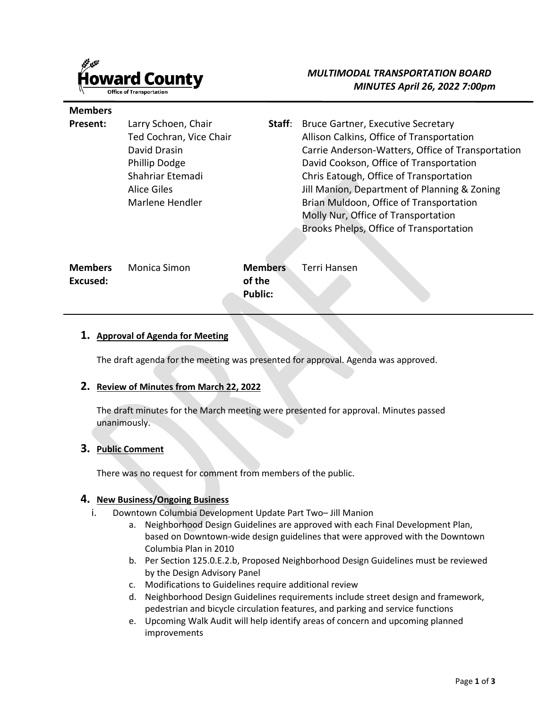

**Members** 

# *MULTIMODAL TRANSPORTATION BOARD MINUTES April 26, 2022 7:00pm*

| Larry Schoen, Chair<br>Ted Cochran, Vice Chair<br>David Drasin<br><b>Phillip Dodge</b><br>Shahriar Etemadi<br>Alice Giles<br>Marlene Hendler | Staff:                                     | <b>Bruce Gartner, Executive Secretary</b><br>Allison Calkins, Office of Transportation<br>Carrie Anderson-Watters, Office of Transportation<br>David Cookson, Office of Transportation<br>Chris Eatough, Office of Transportation<br>Jill Manion, Department of Planning & Zoning<br>Brian Muldoon, Office of Transportation<br>Molly Nur, Office of Transportation<br>Brooks Phelps, Office of Transportation |
|----------------------------------------------------------------------------------------------------------------------------------------------|--------------------------------------------|----------------------------------------------------------------------------------------------------------------------------------------------------------------------------------------------------------------------------------------------------------------------------------------------------------------------------------------------------------------------------------------------------------------|
| <b>Monica Simon</b>                                                                                                                          | <b>Members</b><br>of the<br><b>Public:</b> | <b>Terri Hansen</b>                                                                                                                                                                                                                                                                                                                                                                                            |
|                                                                                                                                              |                                            |                                                                                                                                                                                                                                                                                                                                                                                                                |

#### **1. Approval of Agenda for Meeting**

The draft agenda for the meeting was presented for approval. Agenda was approved.

#### **2. Review of Minutes from March 22, 2022**

The draft minutes for the March meeting were presented for approval. Minutes passed unanimously.

#### **3. Public Comment**

There was no request for comment from members of the public.

#### **4. New Business/Ongoing Business**

- i. Downtown Columbia Development Update Part Two– Jill Manion
	- a. Neighborhood Design Guidelines are approved with each Final Development Plan, based on Downtown-wide design guidelines that were approved with the Downtown Columbia Plan in 2010
	- b. Per Section 125.0.E.2.b, Proposed Neighborhood Design Guidelines must be reviewed by the Design Advisory Panel
	- c. Modifications to Guidelines require additional review
	- d. Neighborhood Design Guidelines requirements include street design and framework, pedestrian and bicycle circulation features, and parking and service functions
	- e. Upcoming Walk Audit will help identify areas of concern and upcoming planned improvements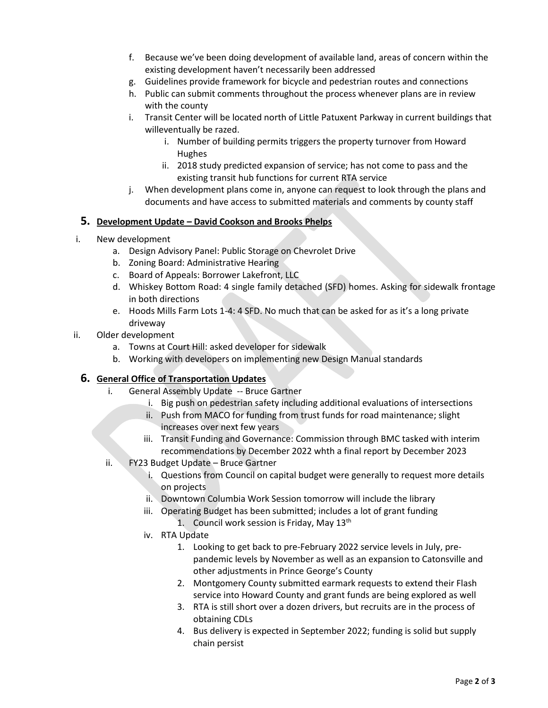- f. Because we've been doing development of available land, areas of concern within the existing development haven't necessarily been addressed
- g. Guidelines provide framework for bicycle and pedestrian routes and connections
- h. Public can submit comments throughout the process whenever plans are in review with the county
- i. Transit Center will be located north of Little Patuxent Parkway in current buildings that willeventually be razed.
	- i. Number of building permits triggers the property turnover from Howard Hughes
	- ii. 2018 study predicted expansion of service; has not come to pass and the existing transit hub functions for current RTA service
- j. When development plans come in, anyone can request to look through the plans and documents and have access to submitted materials and comments by county staff

## **5. Development Update – David Cookson and Brooks Phelps**

- i. New development
	- a. Design Advisory Panel: Public Storage on Chevrolet Drive
	- b. Zoning Board: Administrative Hearing
	- c. Board of Appeals: Borrower Lakefront, LLC
	- d. Whiskey Bottom Road: 4 single family detached (SFD) homes. Asking for sidewalk frontage in both directions
	- e. Hoods Mills Farm Lots 1-4: 4 SFD. No much that can be asked for as it's a long private driveway
- ii. Older development
	- a. Towns at Court Hill: asked developer for sidewalk
	- b. Working with developers on implementing new Design Manual standards

## **6. General Office of Transportation Updates**

- i. General Assembly Update -- Bruce Gartner
	- i. Big push on pedestrian safety including additional evaluations of intersections
	- ii. Push from MACO for funding from trust funds for road maintenance; slight increases over next few years
	- iii. Transit Funding and Governance: Commission through BMC tasked with interim recommendations by December 2022 whth a final report by December 2023
- ii. FY23 Budget Update Bruce Gartner
	- i. Questions from Council on capital budget were generally to request more details on projects
	- ii. Downtown Columbia Work Session tomorrow will include the library
	- iii. Operating Budget has been submitted; includes a lot of grant funding
		- 1. Council work session is Friday, May  $13<sup>th</sup>$
	- iv. RTA Update
		- 1. Looking to get back to pre-February 2022 service levels in July, prepandemic levels by November as well as an expansion to Catonsville and other adjustments in Prince George's County
		- 2. Montgomery County submitted earmark requests to extend their Flash service into Howard County and grant funds are being explored as well
		- 3. RTA is still short over a dozen drivers, but recruits are in the process of obtaining CDLs
		- 4. Bus delivery is expected in September 2022; funding is solid but supply chain persist